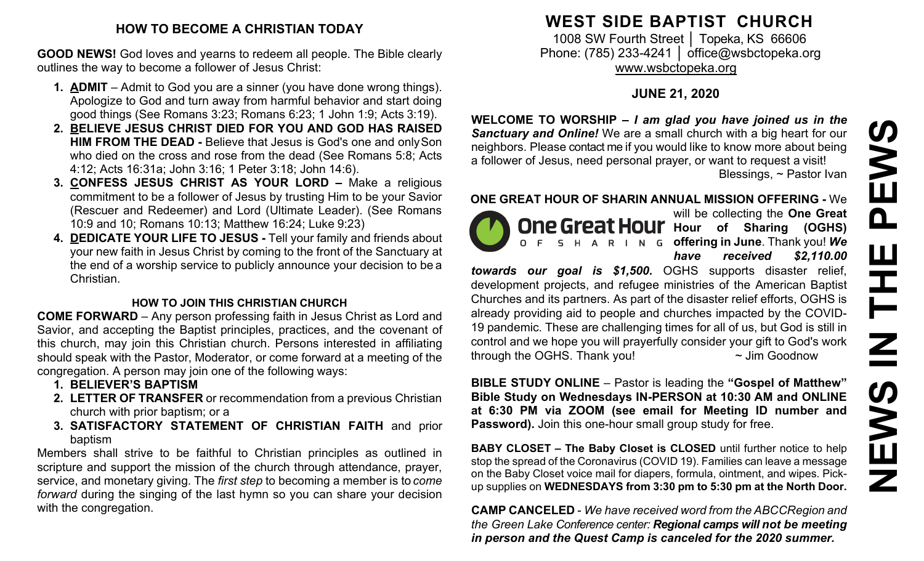#### **HOW TO BECOME A CHRISTIAN TODAY**

**GOOD NEWS!** God loves and yearns to redeem all people. The Bible clearly outlines the way to become a follower of Jesus Christ:

- **1. ADMIT**  Admit to God you are a sinner (you have done wrong things). Apologize to God and turn away from harmful behavior and start doing good things (See Romans 3:23; Romans 6:23; 1 John 1:9; Acts 3:19).
- **2. BELIEVE JESUS CHRIST DIED FOR YOU AND GOD HAS RAISED HIM FROM THE DEAD -** Believe that Jesus is God's one and onlySon who died on the cross and rose from the dead (See Romans 5:8; Acts 4:12; Acts 16:31a; John 3:16; 1 Peter 3:18; John 14:6).
- **3. CONFESS JESUS CHRIST AS YOUR LORD –** Make a religious commitment to be a follower of Jesus by trusting Him to be your Savior (Rescuer and Redeemer) and Lord (Ultimate Leader). (See Romans 10:9 and 10; Romans 10:13; Matthew 16:24; Luke 9:23)
- **4. DEDICATE YOUR LIFE TO JESUS -** Tell your family and friends about your new faith in Jesus Christ by coming to the front of the Sanctuary at the end of a worship service to publicly announce your decision to be a Christian.

## **HOW TO JOIN THIS CHRISTIAN CHURCH**

**COME FORWARD** – Any person professing faith in Jesus Christ as Lord and Savior, and accepting the Baptist principles, practices, and the covenant of this church, may join this Christian church. Persons interested in affiliating should speak with the Pastor, Moderator, or come forward at a meeting of the congregation. A person may join one of the following ways:

- **1. BELIEVER'S BAPTISM**
- **2. LETTER OF TRANSFER** or recommendation from a previous Christian church with prior baptism; or a
- **3. SATISFACTORY STATEMENT OF CHRISTIAN FAITH** and prior baptism

Members shall strive to be faithful to Christian principles as outlined in scripture and support the mission of the church through attendance, prayer, service, and monetary giving. The *first step* to becoming a member is to *come forward* during the singing of the last hymn so you can share your decision with the congregation.

# **WEST SIDE BAPTIST CHURCH**

1008 SW Fourth Street | Topeka, KS 66606 Phone: (785) 233-4241 │ [office@wsbctopeka.org](mailto:office@wsbctopeka.org) [www.wsbctopeka.org](http://www.wsbctopeka.org/)

# **JUNE 21, 2020**

**WELCOME TO WORSHIP –** *I am glad you have joined us in the Sanctuary and Online!* We are a small church with a big heart for our neighbors. Please contact me if you would like to know more about being a follower of Jesus, need personal prayer, or want to request a visit! Blessings, ~ Pastor Ivan

#### **ONE GREAT HOUR OF SHARIN ANNUAL MISSION OFFERING -** We



will be collecting the **One Great One Great Hour** Hour of Sharing (OGHS) **offering in June**. Thank you! *We have received \$2,110.00* 

*towards our goal is \$1,500.* OGHS supports disaster relief, development projects, and refugee ministries of the American Baptist Churches and its partners. As part of the disaster relief efforts, OGHS is already providing aid to people and churches impacted by the COVID-19 pandemic. These are challenging times for all of us, but God is still in control and we hope you will prayerfully consider your gift to God's work through the OGHS. Thank you!  $\sim$  Jim Goodnow

**BIBLE STUDY ONLINE** – Pastor is leading the **"Gospel of Matthew" Bible Study on Wednesdays IN-PERSON at 10:30 AM and ONLINE at 6:30 PM via ZOOM (see email for Meeting ID number and Password).** Join this one-hour small group study for free.

**BABY CLOSET – The Baby Closet is CLOSED** until further notice to help stop the spread of the Coronavirus (COVID 19). Families can leave a message on the Baby Closet voice mail for diapers, formula, ointment, and wipes. Pickup supplies on **WEDNESDAYS from 3:30 pm to 5:30 pm at the North Door.**

**CAMP CANCELED** - *We have received word from the ABCCRegion and the Green Lake Conference center: Regional camps will not be meeting in person and the Quest Camp is canceled for the 2020 summer.*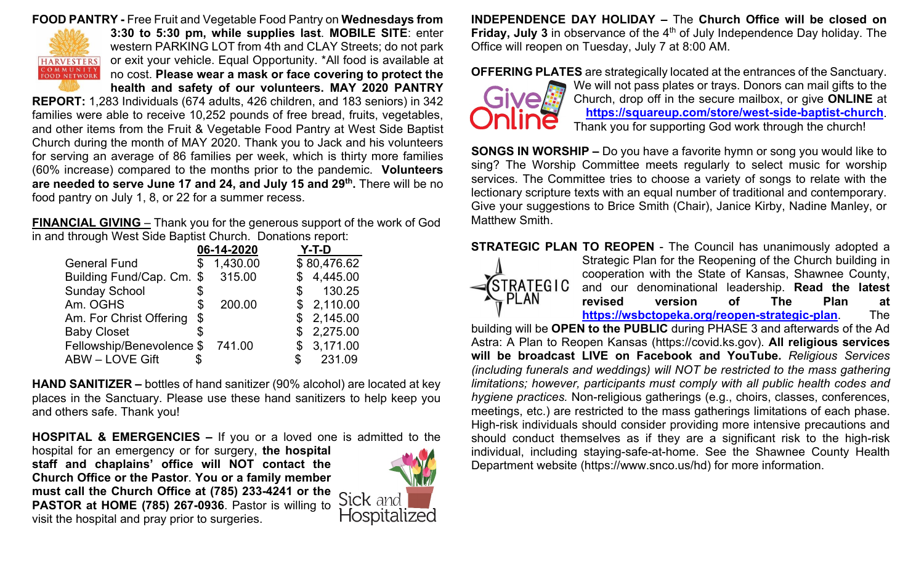#### **FOOD PANTRY -** Free Fruit and Vegetable Food Pantry on **Wednesdays from**



**3:30 to 5:30 pm, while supplies last**. **MOBILE SITE**: enter western PARKING LOT from 4th and CLAY Streets; do not park or exit your vehicle. Equal Opportunity. \*All food is available at no cost. **Please wear a mask or face covering to protect the health and safety of our volunteers. MAY 2020 PANTRY** 

**REPORT:** 1,283 Individuals (674 adults, 426 children, and 183 seniors) in 342 families were able to receive 10,252 pounds of free bread, fruits, vegetables, and other items from the Fruit & Vegetable Food Pantry at West Side Baptist Church during the month of MAY 2020. Thank you to Jack and his volunteers for serving an average of 86 families per week, which is thirty more families (60% increase) compared to the months prior to the pandemic. **Volunteers are needed to serve June 17 and 24, and July 15 and 29th.** There will be no food pantry on July 1, 8, or 22 for a summer recess.

**FINANCIAL GIVING** – Thank you for the generous support of the work of God in and through West Side Baptist Church. Donations report:

|                                  | 06-14-2020     |     | $Y-T-D$     |
|----------------------------------|----------------|-----|-------------|
| <b>General Fund</b>              | \$<br>1,430.00 |     | \$80,476.62 |
| Building Fund/Cap. Cm. \$ 315.00 |                |     | \$4,445.00  |
| <b>Sunday School</b>             | \$             | \$  | 130.25      |
| Am. OGHS                         | \$<br>200.00   |     | \$2,110.00  |
| Am. For Christ Offering          | \$             |     | \$2,145.00  |
| <b>Baby Closet</b>               |                |     | \$2,275.00  |
| Fellowship/Benevolence \$        | 741.00         |     | \$3,171.00  |
| <b>ABW - LOVE Gift</b>           |                | \$. | 231.09      |

**HAND SANITIZER –** bottles of hand sanitizer (90% alcohol) are located at key places in the Sanctuary. Please use these hand sanitizers to help keep you and others safe. Thank you!

**HOSPITAL & EMERGENCIES –** If you or a loved one is admitted to the

hospital for an emergency or for surgery, **the hospital staff and chaplains' office will NOT contact the Church Office or the Pastor**. **You or a family member must call the Church Office at (785) 233-4241 or the PASTOR at HOME (785) 267-0936**. Pastor is willing to visit the hospital and pray prior to surgeries.



**INDEPENDENCE DAY HOLIDAY –** The **Church Office will be closed on Friday, July 3** in observance of the 4<sup>th</sup> of July Independence Day holiday. The Office will reopen on Tuesday, July 7 at 8:00 AM.

**OFFERING PLATES** are strategically located at the entrances of the Sanctuary.



We will not pass plates or trays. Donors can mail gifts to the Church, drop off in the secure mailbox, or give **ONLINE** at **<https://squareup.com/store/west-side-baptist-church>**. Thank you for supporting God work through the church!

**SONGS IN WORSHIP –** Do you have a favorite hymn or song you would like to sing? The Worship Committee meets regularly to select music for worship services. The Committee tries to choose a variety of songs to relate with the lectionary scripture texts with an equal number of traditional and contemporary. Give your suggestions to Brice Smith (Chair), Janice Kirby, Nadine Manley, or Matthew Smith.

**STRATEGIC PLAN TO REOPEN** - The Council has unanimously adopted a Strategic Plan for the Reopening of the Church building in cooperation with the State of Kansas, Shawnee County, *STRATEGIC* and our denominational leadership. **Read the latest**  - PLAN **revised version of The Plan at <https://wsbctopeka.org/reopen-strategic-plan>**. The

building will be **OPEN to the PUBLIC** during PHASE 3 and afterwards of the Ad Astra: A Plan to Reopen Kansas (https://covid.ks.gov). **All religious services will be broadcast LIVE on Facebook and YouTube.** *Religious Services (including funerals and weddings) will NOT be restricted to the mass gathering limitations; however, participants must comply with all public health codes and hygiene practices.* Non-religious gatherings (e.g., choirs, classes, conferences, meetings, etc.) are restricted to the mass gatherings limitations of each phase. High-risk individuals should consider providing more intensive precautions and should conduct themselves as if they are a significant risk to the high-risk individual, including staying-safe-at-home. See the Shawnee County Health Department website (https://www.snco.us/hd) for more information.